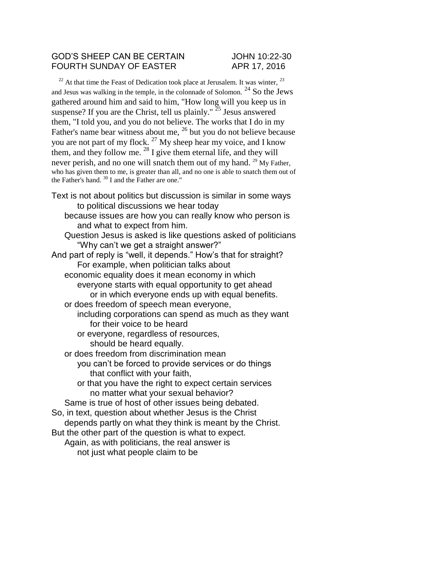#### GOD'S SHEEP CAN BE CERTAIN JOHN 10:22-30 FOURTH SUNDAY OF EASTER APR 17, 2016

 $22$  At that time the Feast of Dedication took place at Jerusalem. It was winter,  $23$ and Jesus was walking in the temple, in the colonnade of Solomon.  $^{24}$  So the Jews gathered around him and said to him, "How long will you keep us in suspense? If you are the Christ, tell us plainly."  $25$  Jesus answered them, "I told you, and you do not believe. The works that I do in my Father's name bear witness about me, <sup>26</sup> but you do not believe because you are not part of my flock.  $27$  My sheep hear my voice, and I know them, and they follow me.  $^{28}$  I give them eternal life, and they will never perish, and no one will snatch them out of my hand. <sup>29</sup> My Father, who has given them to me, is greater than all, and no one is able to snatch them out of the Father's hand.  $30$  I and the Father are one."

- Text is not about politics but discussion is similar in some ways to political discussions we hear today
	- because issues are how you can really know who person is and what to expect from him.
	- Question Jesus is asked is like questions asked of politicians "Why can't we get a straight answer?"
- And part of reply is "well, it depends." How's that for straight? For example, when politician talks about economic equality does it mean economy in which everyone starts with equal opportunity to get ahead or in which everyone ends up with equal benefits.
	- or does freedom of speech mean everyone,
		- including corporations can spend as much as they want for their voice to be heard
			- or everyone, regardless of resources, should be heard equally.
	- or does freedom from discrimination mean
		- you can't be forced to provide services or do things that conflict with your faith,
			- or that you have the right to expect certain services no matter what your sexual behavior?

Same is true of host of other issues being debated.

- So, in text, question about whether Jesus is the Christ
- depends partly on what they think is meant by the Christ.
- But the other part of the question is what to expect. Again, as with politicians, the real answer is
	- not just what people claim to be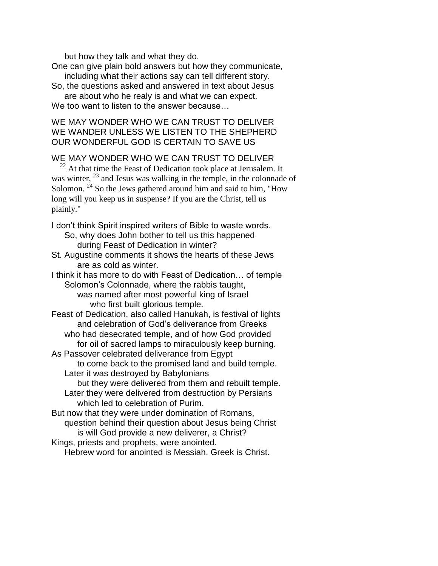but how they talk and what they do.

One can give plain bold answers but how they communicate, including what their actions say can tell different story.

So, the questions asked and answered in text about Jesus are about who he realy is and what we can expect.

We too want to listen to the answer because...

WE MAY WONDER WHO WE CAN TRUST TO DELIVER WE WANDER UNLESS WE LISTEN TO THE SHEPHERD OUR WONDERFUL GOD IS CERTAIN TO SAVE US

## WE MAY WONDER WHO WE CAN TRUST TO DELIVER

 $22$  At that time the Feast of Dedication took place at Jerusalem. It was winter,  $^{23}$  and Jesus was walking in the temple, in the colonnade of Solomon.<sup>24</sup> So the Jews gathered around him and said to him, "How long will you keep us in suspense? If you are the Christ, tell us plainly."

I don't think Spirit inspired writers of Bible to waste words. So, why does John bother to tell us this happened

during Feast of Dedication in winter?

St. Augustine comments it shows the hearts of these Jews are as cold as winter.

I think it has more to do with Feast of Dedication… of temple Solomon's Colonnade, where the rabbis taught, was named after most powerful king of Israel

who first built glorious temple.

Feast of Dedication, also called Hanukah, is festival of lights and celebration of God's deliverance from Greeks who had desecrated temple, and of how God provided

for oil of sacred lamps to miraculously keep burning. As Passover celebrated deliverance from Egypt

to come back to the promised land and build temple. Later it was destroyed by Babylonians

but they were delivered from them and rebuilt temple.

Later they were delivered from destruction by Persians which led to celebration of Purim.

But now that they were under domination of Romans, question behind their question about Jesus being Christ is will God provide a new deliverer, a Christ? Kings, priests and prophets, were anointed.

Hebrew word for anointed is Messiah. Greek is Christ.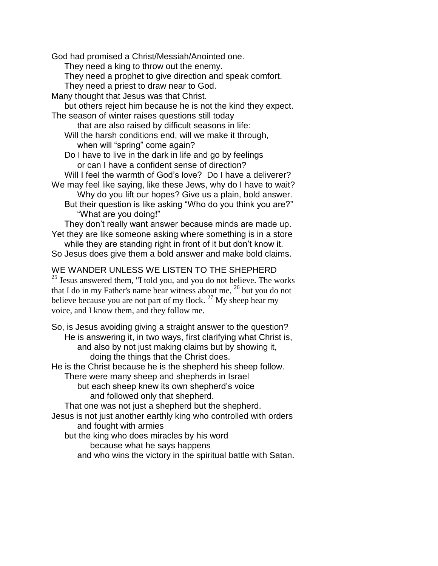God had promised a Christ/Messiah/Anointed one.

They need a king to throw out the enemy.

- They need a prophet to give direction and speak comfort.
- They need a priest to draw near to God.
- Many thought that Jesus was that Christ.

but others reject him because he is not the kind they expect. The season of winter raises questions still today

- that are also raised by difficult seasons in life: Will the harsh conditions end, will we make it through,
	- when will "spring" come again?
- Do I have to live in the dark in life and go by feelings or can I have a confident sense of direction?

Will I feel the warmth of God's love? Do I have a deliverer? We may feel like saying, like these Jews, why do I have to wait?

Why do you lift our hopes? Give us a plain, bold answer. But their question is like asking "Who do you think you are?" "What are you doing!"

They don't really want answer because minds are made up. Yet they are like someone asking where something is in a store

while they are standing right in front of it but don't know it. So Jesus does give them a bold answer and make bold claims.

# WE WANDER UNLESS WE LISTEN TO THE SHEPHERD

 $25$  Jesus answered them, "I told you, and you do not believe. The works that I do in my Father's name bear witness about me,  $^{26}$  but you do not believe because you are not part of my flock.  $^{27}$  My sheep hear my voice, and I know them, and they follow me.

So, is Jesus avoiding giving a straight answer to the question? He is answering it, in two ways, first clarifying what Christ is, and also by not just making claims but by showing it, doing the things that the Christ does.

He is the Christ because he is the shepherd his sheep follow. There were many sheep and shepherds in Israel

but each sheep knew its own shepherd's voice and followed only that shepherd.

That one was not just a shepherd but the shepherd.

Jesus is not just another earthly king who controlled with orders and fought with armies

but the king who does miracles by his word

because what he says happens

and who wins the victory in the spiritual battle with Satan.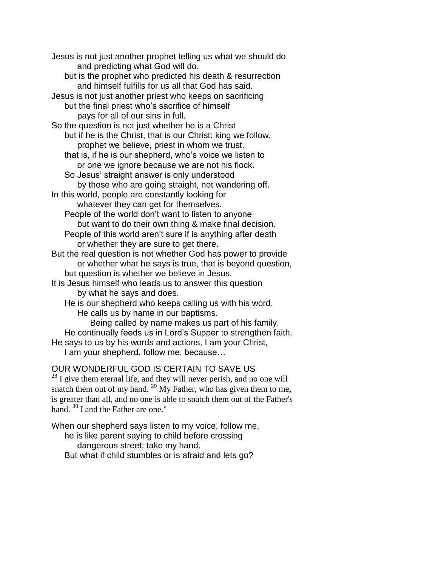Jesus is not just another prophet telling us what we should do and predicting what God will do. but is the prophet who predicted his death & resurrection and himself fulfills for us all that God has said. Jesus is not just another priest who keeps on sacrificing but the final priest who's sacrifice of himself pays for all of our sins in full. So the question is not just whether he is a Christ but if he is the Christ, that is our Christ: king we follow, prophet we believe, priest in whom we trust. that is, if he is our shepherd, who's voice we listen to or one we ignore because we are not his flock. So Jesus' straight answer is only understood by those who are going straight, not wandering off. In this world, people are constantly looking for whatever they can get for themselves. People of the world don't want to listen to anyone but want to do their own thing & make final decision. People of this world aren't sure if is anything after death or whether they are sure to get there. But the real question is not whether God has power to provide or whether what he says is true, that is beyond question, but question is whether we believe in Jesus. It is Jesus himself who leads us to answer this question by what he says and does. He is our shepherd who keeps calling us with his word. He calls us by name in our baptisms. Being called by name makes us part of his family. He continually feeds us in Lord's Supper to strengthen faith. He says to us by his words and actions, I am your Christ,

I am your shepherd, follow me, because…

## OUR WONDERFUL GOD IS CERTAIN TO SAVE US

 $^{28}$  I give them eternal life, and they will never perish, and no one will snatch them out of my hand.  $^{29}$  My Father, who has given them to me, is greater than all, and no one is able to snatch them out of the Father's hand.  $30$  I and the Father are one."

When our shepherd says listen to my voice, follow me, he is like parent saying to child before crossing dangerous street: take my hand. But what if child stumbles or is afraid and lets go?